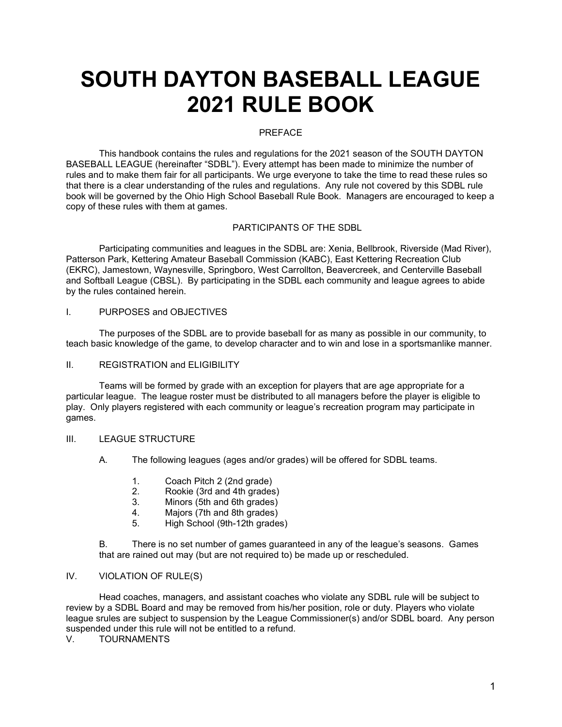# SOUTH DAYTON BASEBALL LEAGUE 2021 RULE BOOK

#### PREFACE

This handbook contains the rules and regulations for the 2021 season of the SOUTH DAYTON BASEBALL LEAGUE (hereinafter "SDBL"). Every attempt has been made to minimize the number of rules and to make them fair for all participants. We urge everyone to take the time to read these rules so that there is a clear understanding of the rules and regulations. Any rule not covered by this SDBL rule book will be governed by the Ohio High School Baseball Rule Book. Managers are encouraged to keep a copy of these rules with them at games.

#### PARTICIPANTS OF THE SDBL

Participating communities and leagues in the SDBL are: Xenia, Bellbrook, Riverside (Mad River), Patterson Park, Kettering Amateur Baseball Commission (KABC), East Kettering Recreation Club (EKRC), Jamestown, Waynesville, Springboro, West Carrollton, Beavercreek, and Centerville Baseball and Softball League (CBSL). By participating in the SDBL each community and league agrees to abide by the rules contained herein.

#### I. PURPOSES and OBJECTIVES

The purposes of the SDBL are to provide baseball for as many as possible in our community, to teach basic knowledge of the game, to develop character and to win and lose in a sportsmanlike manner.

#### II. REGISTRATION and ELIGIBILITY

Teams will be formed by grade with an exception for players that are age appropriate for a particular league. The league roster must be distributed to all managers before the player is eligible to play. Only players registered with each community or league's recreation program may participate in games.

#### III. LEAGUE STRUCTURE

- A. The following leagues (ages and/or grades) will be offered for SDBL teams.
	- 1. Coach Pitch 2 (2nd grade)
	- 2. Rookie (3rd and 4th grades)
	- 3. Minors (5th and 6th grades)
	- 4. Majors (7th and 8th grades)
	- 5. High School (9th-12th grades)

B. There is no set number of games guaranteed in any of the league's seasons. Games that are rained out may (but are not required to) be made up or rescheduled.

#### IV. VIOLATION OF RULE(S)

Head coaches, managers, and assistant coaches who violate any SDBL rule will be subject to review by a SDBL Board and may be removed from his/her position, role or duty. Players who violate league srules are subject to suspension by the League Commissioner(s) and/or SDBL board. Any person suspended under this rule will not be entitled to a refund.<br>V TOURNAMENTS

**TOURNAMENTS**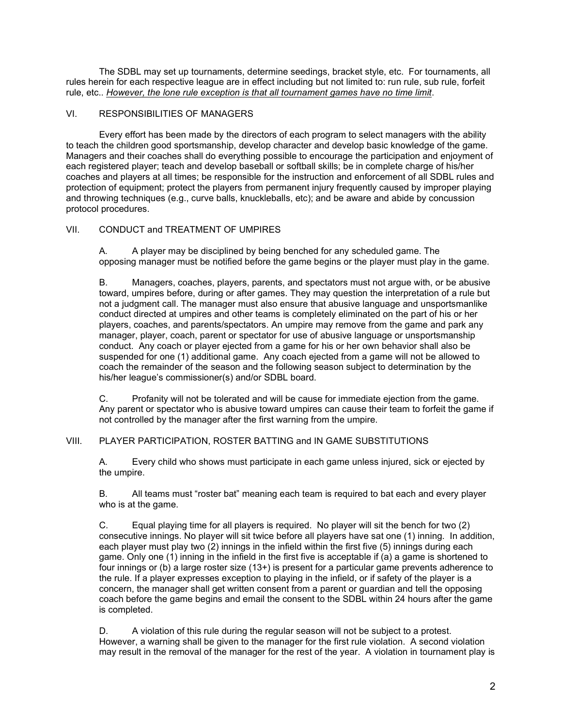The SDBL may set up tournaments, determine seedings, bracket style, etc. For tournaments, all rules herein for each respective league are in effect including but not limited to: run rule, sub rule, forfeit rule, etc.. However, the lone rule exception is that all tournament games have no time limit.

#### VI. RESPONSIBILITIES OF MANAGERS

Every effort has been made by the directors of each program to select managers with the ability to teach the children good sportsmanship, develop character and develop basic knowledge of the game. Managers and their coaches shall do everything possible to encourage the participation and enjoyment of each registered player; teach and develop baseball or softball skills; be in complete charge of his/her coaches and players at all times; be responsible for the instruction and enforcement of all SDBL rules and protection of equipment; protect the players from permanent injury frequently caused by improper playing and throwing techniques (e.g., curve balls, knuckleballs, etc); and be aware and abide by concussion protocol procedures.

### VII. CONDUCT and TREATMENT OF UMPIRES

A. A player may be disciplined by being benched for any scheduled game. The opposing manager must be notified before the game begins or the player must play in the game.

 B. Managers, coaches, players, parents, and spectators must not argue with, or be abusive toward, umpires before, during or after games. They may question the interpretation of a rule but not a judgment call. The manager must also ensure that abusive language and unsportsmanlike conduct directed at umpires and other teams is completely eliminated on the part of his or her players, coaches, and parents/spectators. An umpire may remove from the game and park any manager, player, coach, parent or spectator for use of abusive language or unsportsmanship conduct. Any coach or player ejected from a game for his or her own behavior shall also be suspended for one (1) additional game. Any coach ejected from a game will not be allowed to coach the remainder of the season and the following season subject to determination by the his/her league's commissioner(s) and/or SDBL board.

C. Profanity will not be tolerated and will be cause for immediate ejection from the game. Any parent or spectator who is abusive toward umpires can cause their team to forfeit the game if not controlled by the manager after the first warning from the umpire.

#### VIII. PLAYER PARTICIPATION, ROSTER BATTING and IN GAME SUBSTITUTIONS

A. Every child who shows must participate in each game unless injured, sick or ejected by the umpire.

B. All teams must "roster bat" meaning each team is required to bat each and every player who is at the game.

C. Equal playing time for all players is required. No player will sit the bench for two (2) consecutive innings. No player will sit twice before all players have sat one (1) inning. In addition, each player must play two (2) innings in the infield within the first five (5) innings during each game. Only one (1) inning in the infield in the first five is acceptable if (a) a game is shortened to four innings or (b) a large roster size (13+) is present for a particular game prevents adherence to the rule. If a player expresses exception to playing in the infield, or if safety of the player is a concern, the manager shall get written consent from a parent or guardian and tell the opposing coach before the game begins and email the consent to the SDBL within 24 hours after the game is completed.

D. A violation of this rule during the regular season will not be subject to a protest. However, a warning shall be given to the manager for the first rule violation. A second violation may result in the removal of the manager for the rest of the year. A violation in tournament play is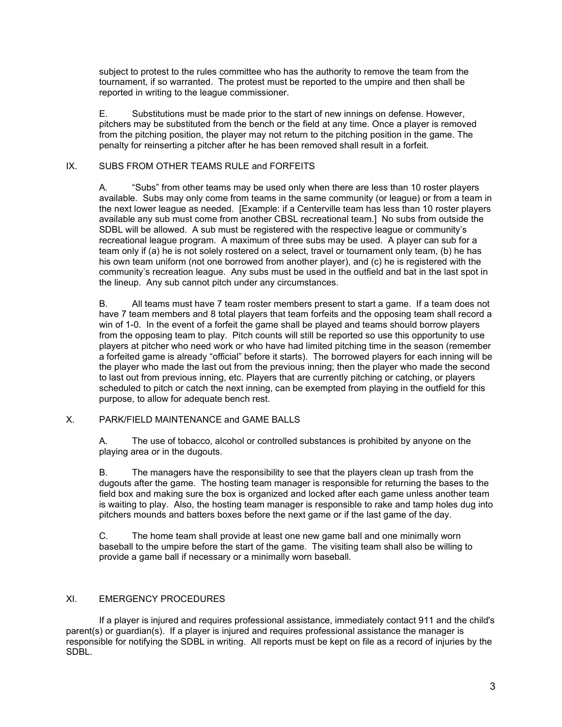subject to protest to the rules committee who has the authority to remove the team from the tournament, if so warranted. The protest must be reported to the umpire and then shall be reported in writing to the league commissioner.

E. Substitutions must be made prior to the start of new innings on defense. However, pitchers may be substituted from the bench or the field at any time. Once a player is removed from the pitching position, the player may not return to the pitching position in the game. The penalty for reinserting a pitcher after he has been removed shall result in a forfeit.

#### IX. SUBS FROM OTHER TEAMS RULE and FORFEITS

A. "Subs" from other teams may be used only when there are less than 10 roster players available. Subs may only come from teams in the same community (or league) or from a team in the next lower league as needed. [Example: if a Centerville team has less than 10 roster players available any sub must come from another CBSL recreational team.] No subs from outside the SDBL will be allowed. A sub must be registered with the respective league or community's recreational league program. A maximum of three subs may be used. A player can sub for a team only if (a) he is not solely rostered on a select, travel or tournament only team, (b) he has his own team uniform (not one borrowed from another player), and (c) he is registered with the community's recreation league. Any subs must be used in the outfield and bat in the last spot in the lineup. Any sub cannot pitch under any circumstances.

B. All teams must have 7 team roster members present to start a game. If a team does not have 7 team members and 8 total players that team forfeits and the opposing team shall record a win of 1-0. In the event of a forfeit the game shall be played and teams should borrow players from the opposing team to play. Pitch counts will still be reported so use this opportunity to use players at pitcher who need work or who have had limited pitching time in the season (remember a forfeited game is already "official" before it starts). The borrowed players for each inning will be the player who made the last out from the previous inning; then the player who made the second to last out from previous inning, etc. Players that are currently pitching or catching, or players scheduled to pitch or catch the next inning, can be exempted from playing in the outfield for this purpose, to allow for adequate bench rest.

#### X. PARK/FIELD MAINTENANCE and GAME BALLS

A. The use of tobacco, alcohol or controlled substances is prohibited by anyone on the playing area or in the dugouts.

B. The managers have the responsibility to see that the players clean up trash from the dugouts after the game. The hosting team manager is responsible for returning the bases to the field box and making sure the box is organized and locked after each game unless another team is waiting to play. Also, the hosting team manager is responsible to rake and tamp holes dug into pitchers mounds and batters boxes before the next game or if the last game of the day.

C. The home team shall provide at least one new game ball and one minimally worn baseball to the umpire before the start of the game. The visiting team shall also be willing to provide a game ball if necessary or a minimally worn baseball.

#### XI. EMERGENCY PROCEDURES

If a player is injured and requires professional assistance, immediately contact 911 and the child's parent(s) or guardian(s). If a player is injured and requires professional assistance the manager is responsible for notifying the SDBL in writing. All reports must be kept on file as a record of injuries by the SDBL.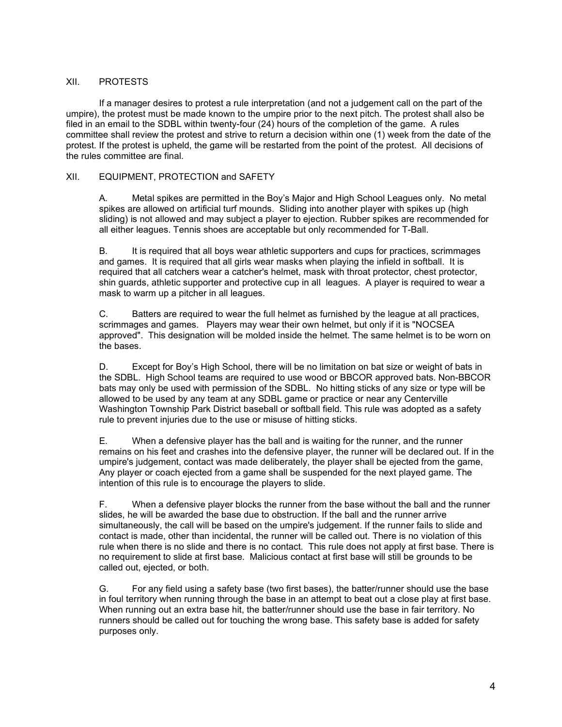#### XII. PROTESTS

 If a manager desires to protest a rule interpretation (and not a judgement call on the part of the umpire), the protest must be made known to the umpire prior to the next pitch. The protest shall also be filed in an email to the SDBL within twenty-four (24) hours of the completion of the game. A rules committee shall review the protest and strive to return a decision within one (1) week from the date of the protest. If the protest is upheld, the game will be restarted from the point of the protest. All decisions of the rules committee are final.

#### XII. EQUIPMENT, PROTECTION and SAFETY

A. Metal spikes are permitted in the Boy's Major and High School Leagues only. No metal spikes are allowed on artificial turf mounds. Sliding into another player with spikes up (high sliding) is not allowed and may subject a player to ejection. Rubber spikes are recommended for all either leagues. Tennis shoes are acceptable but only recommended for T-Ball.

B. It is required that all boys wear athletic supporters and cups for practices, scrimmages and games. It is required that all girls wear masks when playing the infield in softball. It is required that all catchers wear a catcher's helmet, mask with throat protector, chest protector, shin guards, athletic supporter and protective cup in all leagues. A player is required to wear a mask to warm up a pitcher in all leagues.

C. Batters are required to wear the full helmet as furnished by the league at all practices, scrimmages and games. Players may wear their own helmet, but only if it is "NOCSEA approved". This designation will be molded inside the helmet. The same helmet is to be worn on the bases.

D. Except for Boy's High School, there will be no limitation on bat size or weight of bats in the SDBL. High School teams are required to use wood or BBCOR approved bats. Non-BBCOR bats may only be used with permission of the SDBL. No hitting sticks of any size or type will be allowed to be used by any team at any SDBL game or practice or near any Centerville Washington Township Park District baseball or softball field. This rule was adopted as a safety rule to prevent injuries due to the use or misuse of hitting sticks.

E. When a defensive player has the ball and is waiting for the runner, and the runner remains on his feet and crashes into the defensive player, the runner will be declared out. If in the umpire's judgement, contact was made deliberately, the player shall be ejected from the game, Any player or coach ejected from a game shall be suspended for the next played game. The intention of this rule is to encourage the players to slide.

F. When a defensive player blocks the runner from the base without the ball and the runner slides, he will be awarded the base due to obstruction. If the ball and the runner arrive simultaneously, the call will be based on the umpire's judgement. If the runner fails to slide and contact is made, other than incidental, the runner will be called out. There is no violation of this rule when there is no slide and there is no contact. This rule does not apply at first base. There is no requirement to slide at first base. Malicious contact at first base will still be grounds to be called out, ejected, or both.

G. For any field using a safety base (two first bases), the batter/runner should use the base in foul territory when running through the base in an attempt to beat out a close play at first base. When running out an extra base hit, the batter/runner should use the base in fair territory. No runners should be called out for touching the wrong base. This safety base is added for safety purposes only.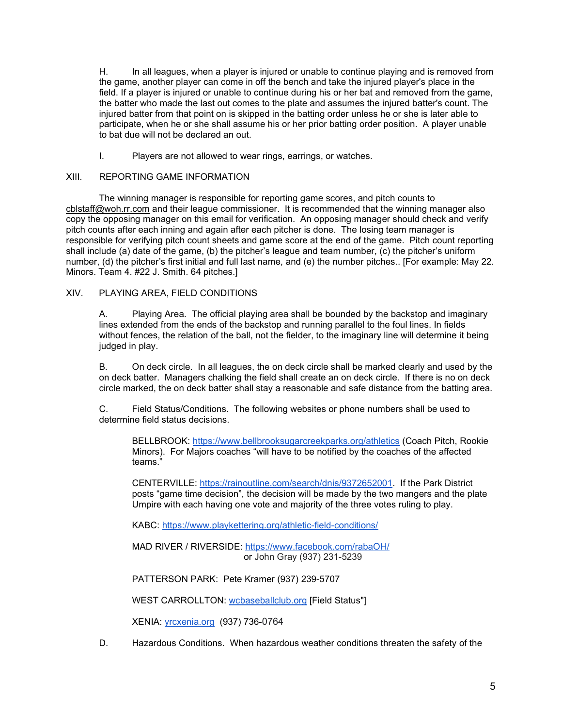H. In all leagues, when a player is injured or unable to continue playing and is removed from the game, another player can come in off the bench and take the injured player's place in the field. If a player is injured or unable to continue during his or her bat and removed from the game, the batter who made the last out comes to the plate and assumes the injured batter's count. The injured batter from that point on is skipped in the batting order unless he or she is later able to participate, when he or she shall assume his or her prior batting order position. A player unable to bat due will not be declared an out.

I. Players are not allowed to wear rings, earrings, or watches.

#### XIII. REPORTING GAME INFORMATION

The winning manager is responsible for reporting game scores, and pitch counts to cblstaff@woh.rr.com and their league commissioner. It is recommended that the winning manager also copy the opposing manager on this email for verification. An opposing manager should check and verify pitch counts after each inning and again after each pitcher is done. The losing team manager is responsible for verifying pitch count sheets and game score at the end of the game. Pitch count reporting shall include (a) date of the game, (b) the pitcher's league and team number, (c) the pitcher's uniform number, (d) the pitcher's first initial and full last name, and (e) the number pitches.. [For example: May 22. Minors. Team 4. #22 J. Smith. 64 pitches.]

#### XIV. PLAYING AREA, FIELD CONDITIONS

A. Playing Area. The official playing area shall be bounded by the backstop and imaginary lines extended from the ends of the backstop and running parallel to the foul lines. In fields without fences, the relation of the ball, not the fielder, to the imaginary line will determine it being judged in play.

B. On deck circle. In all leagues, the on deck circle shall be marked clearly and used by the on deck batter. Managers chalking the field shall create an on deck circle. If there is no on deck circle marked, the on deck batter shall stay a reasonable and safe distance from the batting area.

C. Field Status/Conditions. The following websites or phone numbers shall be used to determine field status decisions.

BELLBROOK: https://www.bellbrooksugarcreekparks.org/athletics (Coach Pitch, Rookie Minors). For Majors coaches "will have to be notified by the coaches of the affected teams."

CENTERVILLE: https://rainoutline.com/search/dnis/9372652001. If the Park District posts "game time decision", the decision will be made by the two mangers and the plate Umpire with each having one vote and majority of the three votes ruling to play.

KABC: https://www.playkettering.org/athletic-field-conditions/

MAD RIVER / RIVERSIDE: https://www.facebook.com/rabaOH/ or John Gray (937) 231-5239

PATTERSON PARK: Pete Kramer (937) 239-5707

WEST CARROLLTON: wcbaseballclub.org [Field Status"]

XENIA: yrcxenia.org (937) 736-0764

D. Hazardous Conditions. When hazardous weather conditions threaten the safety of the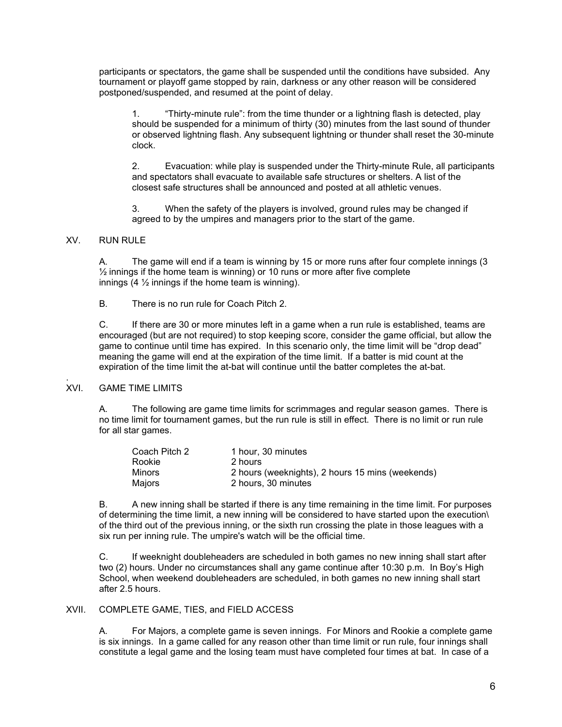participants or spectators, the game shall be suspended until the conditions have subsided. Any tournament or playoff game stopped by rain, darkness or any other reason will be considered postponed/suspended, and resumed at the point of delay.

1. "Thirty-minute rule": from the time thunder or a lightning flash is detected, play should be suspended for a minimum of thirty (30) minutes from the last sound of thunder or observed lightning flash. Any subsequent lightning or thunder shall reset the 30-minute clock.

2. Evacuation: while play is suspended under the Thirty-minute Rule, all participants and spectators shall evacuate to available safe structures or shelters. A list of the closest safe structures shall be announced and posted at all athletic venues.

3. When the safety of the players is involved, ground rules may be changed if agreed to by the umpires and managers prior to the start of the game.

#### XV. RUN RULE

A. The game will end if a team is winning by 15 or more runs after four complete innings (3  $\frac{1}{2}$  innings if the home team is winning) or 10 runs or more after five complete innings  $(4 \frac{1}{2})$  innings if the home team is winning).

B. There is no run rule for Coach Pitch 2.

C. If there are 30 or more minutes left in a game when a run rule is established, teams are encouraged (but are not required) to stop keeping score, consider the game official, but allow the game to continue until time has expired. In this scenario only, the time limit will be "drop dead" meaning the game will end at the expiration of the time limit. If a batter is mid count at the expiration of the time limit the at-bat will continue until the batter completes the at-bat.

#### **XVI GAME TIME LIMITS**

A. The following are game time limits for scrimmages and regular season games. There is no time limit for tournament games, but the run rule is still in effect. There is no limit or run rule for all star games.

| Coach Pitch 2 | 1 hour. 30 minutes                               |
|---------------|--------------------------------------------------|
| Rookie        | 2 hours                                          |
| Minors        | 2 hours (weeknights), 2 hours 15 mins (weekends) |
| Maiors        | 2 hours, 30 minutes                              |

 B. A new inning shall be started if there is any time remaining in the time limit. For purposes of determining the time limit, a new inning will be considered to have started upon the execution\ of the third out of the previous inning, or the sixth run crossing the plate in those leagues with a six run per inning rule. The umpire's watch will be the official time.

C. If weeknight doubleheaders are scheduled in both games no new inning shall start after two (2) hours. Under no circumstances shall any game continue after 10:30 p.m. In Boy's High School, when weekend doubleheaders are scheduled, in both games no new inning shall start after 2.5 hours.

#### XVII. COMPLETE GAME, TIES, and FIELD ACCESS

A. For Majors, a complete game is seven innings. For Minors and Rookie a complete game is six innings. In a game called for any reason other than time limit or run rule, four innings shall constitute a legal game and the losing team must have completed four times at bat. In case of a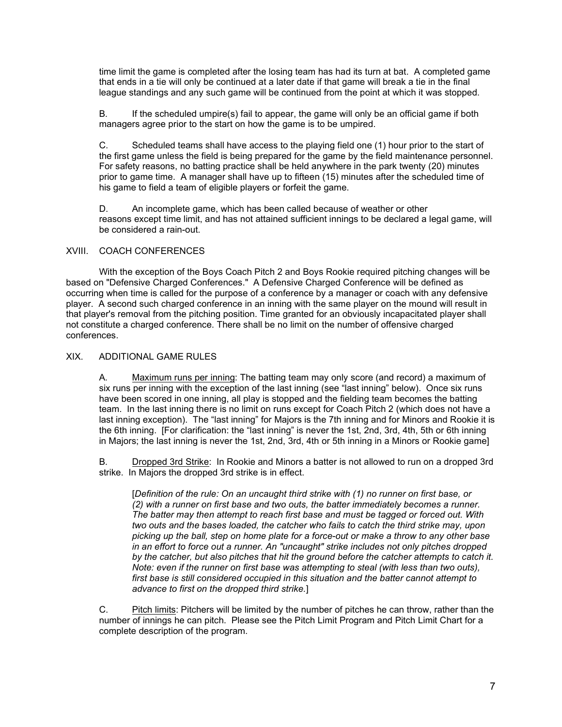time limit the game is completed after the losing team has had its turn at bat. A completed game that ends in a tie will only be continued at a later date if that game will break a tie in the final league standings and any such game will be continued from the point at which it was stopped.

B. If the scheduled umpire(s) fail to appear, the game will only be an official game if both managers agree prior to the start on how the game is to be umpired.

C. Scheduled teams shall have access to the playing field one (1) hour prior to the start of the first game unless the field is being prepared for the game by the field maintenance personnel. For safety reasons, no batting practice shall be held anywhere in the park twenty (20) minutes prior to game time. A manager shall have up to fifteen (15) minutes after the scheduled time of his game to field a team of eligible players or forfeit the game.

D. An incomplete game, which has been called because of weather or other reasons except time limit, and has not attained sufficient innings to be declared a legal game, will be considered a rain-out.

#### XVIII. COACH CONFERENCES

With the exception of the Boys Coach Pitch 2 and Boys Rookie required pitching changes will be based on "Defensive Charged Conferences." A Defensive Charged Conference will be defined as occurring when time is called for the purpose of a conference by a manager or coach with any defensive player. A second such charged conference in an inning with the same player on the mound will result in that player's removal from the pitching position. Time granted for an obviously incapacitated player shall not constitute a charged conference. There shall be no limit on the number of offensive charged conferences.

#### XIX. ADDITIONAL GAME RULES

A. Maximum runs per inning: The batting team may only score (and record) a maximum of six runs per inning with the exception of the last inning (see "last inning" below). Once six runs have been scored in one inning, all play is stopped and the fielding team becomes the batting team. In the last inning there is no limit on runs except for Coach Pitch 2 (which does not have a last inning exception). The "last inning" for Majors is the 7th inning and for Minors and Rookie it is the 6th inning. [For clarification: the "last inning" is never the 1st, 2nd, 3rd, 4th, 5th or 6th inning in Majors; the last inning is never the 1st, 2nd, 3rd, 4th or 5th inning in a Minors or Rookie game]

B. Dropped 3rd Strike: In Rookie and Minors a batter is not allowed to run on a dropped 3rd strike. In Majors the dropped 3rd strike is in effect.

[Definition of the rule: On an uncaught third strike with (1) no runner on first base, or (2) with a runner on first base and two outs, the batter immediately becomes a runner. The batter may then attempt to reach first base and must be tagged or forced out. With two outs and the bases loaded, the catcher who fails to catch the third strike may, upon picking up the ball, step on home plate for a force-out or make a throw to any other base in an effort to force out a runner. An "uncaught" strike includes not only pitches dropped by the catcher, but also pitches that hit the ground before the catcher attempts to catch it. Note: even if the runner on first base was attempting to steal (with less than two outs), first base is still considered occupied in this situation and the batter cannot attempt to advance to first on the dropped third strike.]

C. Pitch limits: Pitchers will be limited by the number of pitches he can throw, rather than the number of innings he can pitch. Please see the Pitch Limit Program and Pitch Limit Chart for a complete description of the program.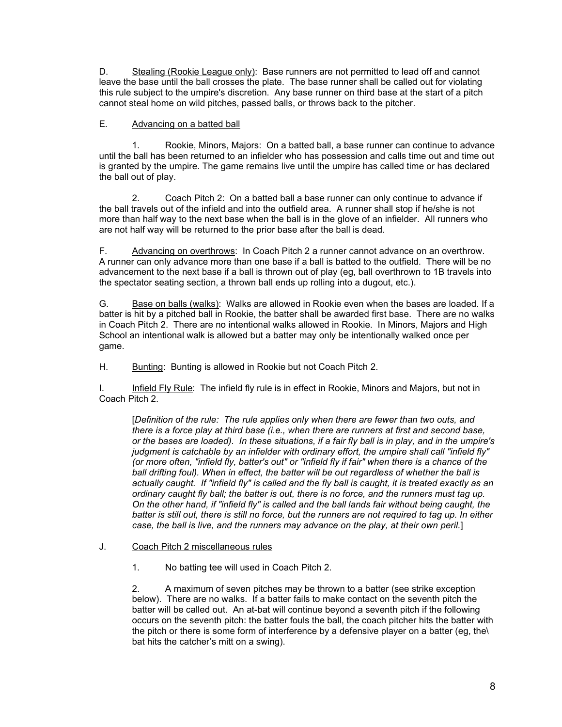D. Stealing (Rookie League only): Base runners are not permitted to lead off and cannot leave the base until the ball crosses the plate. The base runner shall be called out for violating this rule subject to the umpire's discretion. Any base runner on third base at the start of a pitch cannot steal home on wild pitches, passed balls, or throws back to the pitcher.

### E. Advancing on a batted ball

1. Rookie, Minors, Majors: On a batted ball, a base runner can continue to advance until the ball has been returned to an infielder who has possession and calls time out and time out is granted by the umpire. The game remains live until the umpire has called time or has declared the ball out of play.

2. Coach Pitch 2: On a batted ball a base runner can only continue to advance if the ball travels out of the infield and into the outfield area. A runner shall stop if he/she is not more than half way to the next base when the ball is in the glove of an infielder. All runners who are not half way will be returned to the prior base after the ball is dead.

F. Advancing on overthrows: In Coach Pitch 2 a runner cannot advance on an overthrow. A runner can only advance more than one base if a ball is batted to the outfield. There will be no advancement to the next base if a ball is thrown out of play (eg, ball overthrown to 1B travels into the spectator seating section, a thrown ball ends up rolling into a dugout, etc.).

G. Base on balls (walks): Walks are allowed in Rookie even when the bases are loaded. If a batter is hit by a pitched ball in Rookie, the batter shall be awarded first base. There are no walks in Coach Pitch 2. There are no intentional walks allowed in Rookie. In Minors, Majors and High School an intentional walk is allowed but a batter may only be intentionally walked once per game.

H. Bunting: Bunting is allowed in Rookie but not Coach Pitch 2.

I. Infield Fly Rule: The infield fly rule is in effect in Rookie, Minors and Majors, but not in Coach Pitch 2.

[Definition of the rule: The rule applies only when there are fewer than two outs, and there is a force play at third base (i.e., when there are runners at first and second base, or the bases are loaded). In these situations, if a fair fly ball is in play, and in the umpire's judgment is catchable by an infielder with ordinary effort, the umpire shall call "infield fly" (or more often, "infield fly, batter's out" or "infield fly if fair" when there is a chance of the ball drifting foul). When in effect, the batter will be out regardless of whether the ball is actually caught. If "infield fly" is called and the fly ball is caught, it is treated exactly as an ordinary caught fly ball; the batter is out, there is no force, and the runners must tag up. On the other hand, if "infield fly" is called and the ball lands fair without being caught, the batter is still out, there is still no force, but the runners are not required to tag up. In either case, the ball is live, and the runners may advance on the play, at their own peril.]

- J. Coach Pitch 2 miscellaneous rules
	- 1. No batting tee will used in Coach Pitch 2.

2. A maximum of seven pitches may be thrown to a batter (see strike exception below). There are no walks. If a batter fails to make contact on the seventh pitch the batter will be called out. An at-bat will continue beyond a seventh pitch if the following occurs on the seventh pitch: the batter fouls the ball, the coach pitcher hits the batter with the pitch or there is some form of interference by a defensive player on a batter (eg, the\ bat hits the catcher's mitt on a swing).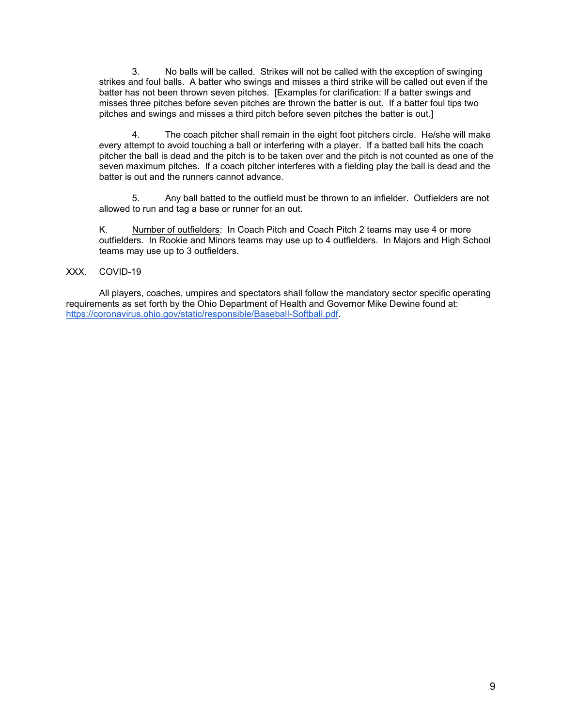3. No balls will be called. Strikes will not be called with the exception of swinging strikes and foul balls. A batter who swings and misses a third strike will be called out even if the batter has not been thrown seven pitches. [Examples for clarification: If a batter swings and misses three pitches before seven pitches are thrown the batter is out. If a batter foul tips two pitches and swings and misses a third pitch before seven pitches the batter is out.]

 4. The coach pitcher shall remain in the eight foot pitchers circle. He/she will make every attempt to avoid touching a ball or interfering with a player. If a batted ball hits the coach pitcher the ball is dead and the pitch is to be taken over and the pitch is not counted as one of the seven maximum pitches. If a coach pitcher interferes with a fielding play the ball is dead and the batter is out and the runners cannot advance.

5. Any ball batted to the outfield must be thrown to an infielder. Outfielders are not allowed to run and tag a base or runner for an out.

K. Number of outfielders: In Coach Pitch and Coach Pitch 2 teams may use 4 or more outfielders. In Rookie and Minors teams may use up to 4 outfielders. In Majors and High School teams may use up to 3 outfielders.

#### XXX. COVID-19

 All players, coaches, umpires and spectators shall follow the mandatory sector specific operating requirements as set forth by the Ohio Department of Health and Governor Mike Dewine found at: https://coronavirus.ohio.gov/static/responsible/Baseball-Softball.pdf.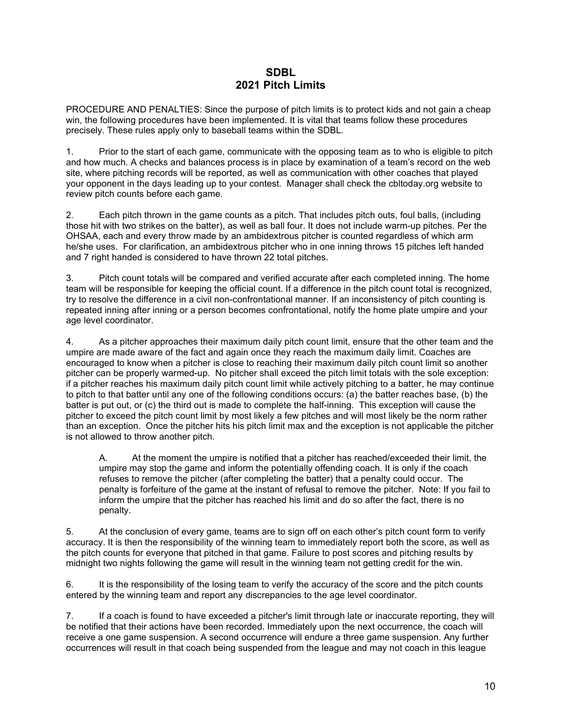## SDBL 2021 Pitch Limits

PROCEDURE AND PENALTIES: Since the purpose of pitch limits is to protect kids and not gain a cheap win, the following procedures have been implemented. It is vital that teams follow these procedures precisely. These rules apply only to baseball teams within the SDBL.

1. Prior to the start of each game, communicate with the opposing team as to who is eligible to pitch and how much. A checks and balances process is in place by examination of a team's record on the web site, where pitching records will be reported, as well as communication with other coaches that played your opponent in the days leading up to your contest. Manager shall check the cbltoday.org website to review pitch counts before each game.

2. Each pitch thrown in the game counts as a pitch. That includes pitch outs, foul balls, (including those hit with two strikes on the batter), as well as ball four. It does not include warm-up pitches. Per the OHSAA, each and every throw made by an ambidextrous pitcher is counted regardless of which arm he/she uses. For clarification, an ambidextrous pitcher who in one inning throws 15 pitches left handed and 7 right handed is considered to have thrown 22 total pitches.

3. Pitch count totals will be compared and verified accurate after each completed inning. The home team will be responsible for keeping the official count. If a difference in the pitch count total is recognized, try to resolve the difference in a civil non-confrontational manner. If an inconsistency of pitch counting is repeated inning after inning or a person becomes confrontational, notify the home plate umpire and your age level coordinator.

4. As a pitcher approaches their maximum daily pitch count limit, ensure that the other team and the umpire are made aware of the fact and again once they reach the maximum daily limit. Coaches are encouraged to know when a pitcher is close to reaching their maximum daily pitch count limit so another pitcher can be properly warmed-up. No pitcher shall exceed the pitch limit totals with the sole exception: if a pitcher reaches his maximum daily pitch count limit while actively pitching to a batter, he may continue to pitch to that batter until any one of the following conditions occurs: (a) the batter reaches base, (b) the batter is put out, or (c) the third out is made to complete the half-inning. This exception will cause the pitcher to exceed the pitch count limit by most likely a few pitches and will most likely be the norm rather than an exception. Once the pitcher hits his pitch limit max and the exception is not applicable the pitcher is not allowed to throw another pitch.

A. At the moment the umpire is notified that a pitcher has reached/exceeded their limit, the umpire may stop the game and inform the potentially offending coach. It is only if the coach refuses to remove the pitcher (after completing the batter) that a penalty could occur. The penalty is forfeiture of the game at the instant of refusal to remove the pitcher. Note: If you fail to inform the umpire that the pitcher has reached his limit and do so after the fact, there is no penalty.

5. At the conclusion of every game, teams are to sign off on each other's pitch count form to verify accuracy. It is then the responsibility of the winning team to immediately report both the score, as well as the pitch counts for everyone that pitched in that game. Failure to post scores and pitching results by midnight two nights following the game will result in the winning team not getting credit for the win.

6. It is the responsibility of the losing team to verify the accuracy of the score and the pitch counts entered by the winning team and report any discrepancies to the age level coordinator.

7. If a coach is found to have exceeded a pitcher's limit through late or inaccurate reporting, they will be notified that their actions have been recorded. Immediately upon the next occurrence, the coach will receive a one game suspension. A second occurrence will endure a three game suspension. Any further occurrences will result in that coach being suspended from the league and may not coach in this league